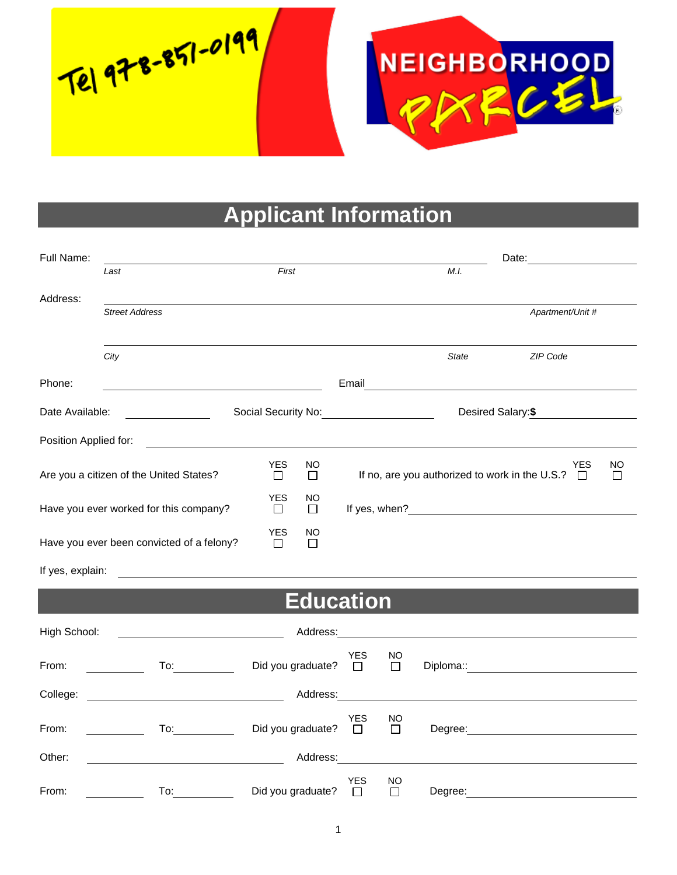Tel 978-851-0199



## **Applicant Information**

| Full Name:            |                                                                                                                                                                                       |                                       |                      |                                           |              |                                                                                                                                                                                                                                      |         |  |
|-----------------------|---------------------------------------------------------------------------------------------------------------------------------------------------------------------------------------|---------------------------------------|----------------------|-------------------------------------------|--------------|--------------------------------------------------------------------------------------------------------------------------------------------------------------------------------------------------------------------------------------|---------|--|
|                       | Last                                                                                                                                                                                  | First                                 |                      |                                           | M.I.         |                                                                                                                                                                                                                                      |         |  |
| Address:              | <b>Street Address</b>                                                                                                                                                                 |                                       |                      |                                           |              | Apartment/Unit #                                                                                                                                                                                                                     |         |  |
|                       | City                                                                                                                                                                                  |                                       |                      |                                           | <b>State</b> | ZIP Code                                                                                                                                                                                                                             |         |  |
| Phone:                | <u> 1980 - Johann Barn, mars eta bat erroman erroman erroman erroman erroman erroman erroman erroman erroman err</u>                                                                  |                                       |                      |                                           |              |                                                                                                                                                                                                                                      |         |  |
|                       | Date Available:<br>$\mathcal{L}^{\text{max}}$ , where $\mathcal{L}^{\text{max}}$                                                                                                      |                                       |                      | Desired Salary: \$<br>Social Security No: |              |                                                                                                                                                                                                                                      |         |  |
| Position Applied for: |                                                                                                                                                                                       |                                       |                      |                                           |              |                                                                                                                                                                                                                                      |         |  |
|                       | Are you a citizen of the United States?                                                                                                                                               | <b>YES</b><br>NO.<br>П<br>$\Box$      |                      |                                           |              | YES<br>If no, are you authorized to work in the U.S.? $\Box$                                                                                                                                                                         | NO<br>П |  |
|                       | Have you ever worked for this company?                                                                                                                                                | <b>YES</b><br>NO.<br>$\Box$<br>$\Box$ |                      |                                           |              | If yes, when?<br>$\frac{1}{2}$                                                                                                                                                                                                       |         |  |
|                       | Have you ever been convicted of a felony?                                                                                                                                             | <b>YES</b><br>NO<br>П<br>$\Box$       |                      |                                           |              |                                                                                                                                                                                                                                      |         |  |
| If yes, explain:      |                                                                                                                                                                                       |                                       |                      |                                           |              |                                                                                                                                                                                                                                      |         |  |
|                       |                                                                                                                                                                                       | <b>Education</b>                      |                      |                                           |              |                                                                                                                                                                                                                                      |         |  |
| High School:          |                                                                                                                                                                                       |                                       |                      |                                           |              | Address: Analysis and the contract of the contract of the contract of the contract of the contract of the contract of the contract of the contract of the contract of the contract of the contract of the contract of the cont       |         |  |
| From:                 |                                                                                                                                                                                       | Did you graduate?                     | YES<br>$\Box$        | NO.<br>$\Box$                             |              | Diploma:: <u>contract and the property of the set of the set of the set of the set of the set of the set of the set of the set of the set of the set of the set of the set of the set of the set of the set of the set of the se</u> |         |  |
| College:              | <u> 1980 - Johann Barbara, martin a</u>                                                                                                                                               | Address:                              |                      |                                           |              |                                                                                                                                                                                                                                      |         |  |
| From:                 | $\overline{a}$ To: $\overline{a}$<br>$\label{eq:2} \begin{split} \mathcal{L}_{\text{max}}(\mathcal{L}_{\text{max}}) = \mathcal{L}_{\text{max}}(\mathcal{L}_{\text{max}}) \end{split}$ | Did you graduate?                     | <b>YES</b><br>$\Box$ | NO<br>$\Box$                              |              |                                                                                                                                                                                                                                      |         |  |
| Other:                |                                                                                                                                                                                       | Address:                              |                      |                                           |              | <u> 1989 - Johann Stein, fransk politik (d. 1989)</u>                                                                                                                                                                                |         |  |
| From:                 | To:                                                                                                                                                                                   | Did you graduate?                     | YES<br>$\Box$        | NO.<br>$\Box$                             | Degree:      |                                                                                                                                                                                                                                      |         |  |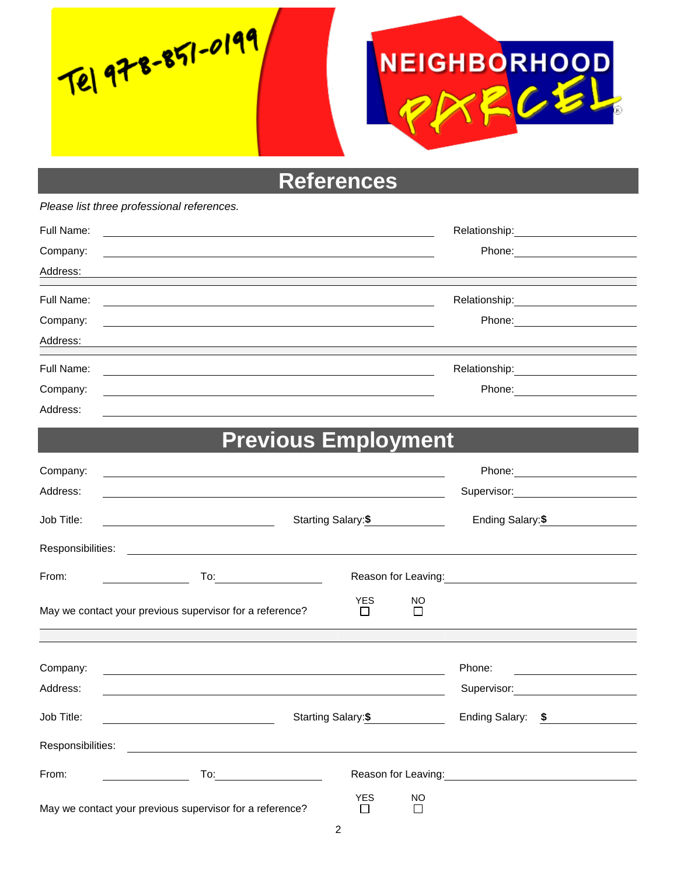Tel 978-851-0199



**References**

*Please list three professional references.*

| Full Name: | Relationship: \\square\\sqrt{\math{\smat}} |        |
|------------|--------------------------------------------|--------|
| Company:   |                                            | Phone: |
| Address:   |                                            |        |
| Full Name: |                                            |        |
| Company:   | Phone:                                     |        |
| Address:   |                                            |        |
| Full Name: |                                            |        |
| Company:   | Phone:                                     |        |
| Address:   |                                            |        |

## **Previous Employment**

| Company:          |                                                                                                                                                                                                                                |                      |                     |                                                                                                                                                                                                                                  |  |
|-------------------|--------------------------------------------------------------------------------------------------------------------------------------------------------------------------------------------------------------------------------|----------------------|---------------------|----------------------------------------------------------------------------------------------------------------------------------------------------------------------------------------------------------------------------------|--|
| Address:          | the control of the control of the control of the control of the control of the control of the control of the control of the control of the control of the control of the control of the control of the control of the control  |                      |                     | Supervisor: Victor Contract Contract Contract Contract Contract Contract Contract Contract Contract Contract Co                                                                                                                  |  |
| Job Title:        |                                                                                                                                                                                                                                |                      | Starting Salary: \$ | Ending Salary:\$                                                                                                                                                                                                                 |  |
| Responsibilities: | <u> Andreas Andreas Andreas Andreas Andreas Andreas Andreas Andreas Andreas Andreas Andreas Andreas Andreas Andr</u>                                                                                                           |                      |                     |                                                                                                                                                                                                                                  |  |
| From:             |                                                                                                                                                                                                                                |                      |                     | Reason for Leaving:<br>Notation of the United States and States and States and States and States and States and States and States and States and States and States and States and States and States and States and States and St |  |
|                   | May we contact your previous supervisor for a reference?                                                                                                                                                                       | <b>YES</b><br>$\Box$ | <b>NO</b><br>□      |                                                                                                                                                                                                                                  |  |
|                   |                                                                                                                                                                                                                                |                      |                     |                                                                                                                                                                                                                                  |  |
| Company:          |                                                                                                                                                                                                                                |                      |                     | Phone:<br><u> 1989 - Jan Samuel Barbara, politik a</u>                                                                                                                                                                           |  |
| Address:          |                                                                                                                                                                                                                                |                      |                     | Supervisor: 2000                                                                                                                                                                                                                 |  |
| Job Title:        | <u> 1989 - Johann Barn, fransk politik (</u>                                                                                                                                                                                   |                      | Starting Salary:\$  | Ending Salary: \$                                                                                                                                                                                                                |  |
| Responsibilities: |                                                                                                                                                                                                                                |                      |                     |                                                                                                                                                                                                                                  |  |
| From:             | To: the contract of the contract of the contract of the contract of the contract of the contract of the contract of the contract of the contract of the contract of the contract of the contract of the contract of the contra |                      |                     | Reason for Leaving: Note and the manufacturer of the state of the state of the state of the state of the state of the state of the state of the state of the state of the state of the state of the state of the state of the    |  |
|                   | May we contact your previous supervisor for a reference?                                                                                                                                                                       | <b>YES</b><br>$\Box$ | <b>NO</b><br>$\Box$ |                                                                                                                                                                                                                                  |  |